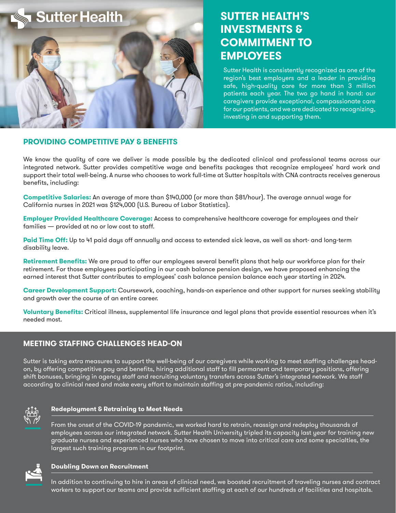

# **SUTTER HEALTH'S INVESTMENTS & COMMITMENT TO EMPLOYEES**

Sutter Health is consistently recognized as one of the region's best employers and a leader in providing safe, high-quality care for more than 3 million patients each year. The two go hand in hand: our caregivers provide exceptional, compassionate care for our patients, and we are dedicated to recognizing, investing in and supporting them.

## **PROVIDING COMPETITIVE PAY & BENEFITS**

We know the quality of care we deliver is made possible by the dedicated clinical and professional teams across our integrated network. Sutter provides competitive wage and benefits packages that recognize employees' hard work and support their total well-being. A nurse who chooses to work full-time at Sutter hospitals with CNA contracts receives generous benefits, including:

**Competitive Salaries:** An average of more than \$140,000 (or more than \$81/hour). The average annual wage for California nurses in 2021 was \$124,000 (U.S. Bureau of Labor Statistics).

**Employer Provided Healthcare Coverage:** Access to comprehensive healthcare coverage for employees and their families — provided at no or low cost to staff.

**Paid Time Off:** Up to 41 paid days off annually and access to extended sick leave, as well as short- and long-term disability leave.

**Retirement Benefits:** We are proud to offer our employees several benefit plans that help our workforce plan for their retirement. For those employees participating in our cash balance pension design, we have proposed enhancing the earned interest that Sutter contributes to employees' cash balance pension balance each year starting in 2024.

**Career Development Support:** Coursework, coaching, hands-on experience and other support for nurses seeking stability and growth over the course of an entire career.

**Voluntary Benefits:** Critical illness, supplemental life insurance and legal plans that provide essential resources when it's needed most.

# **MEETING STAFFING CHALLENGES HEAD-ON**

Sutter is taking extra measures to support the well-being of our caregivers while working to meet staffing challenges headon, by offering competitive pay and benefits, hiring additional staff to fill permanent and temporary positions, offering shift bonuses, bringing in agency staff and recruiting voluntary transfers across Sutter's integrated network. We staff according to clinical need and make every effort to maintain staffing at pre-pandemic ratios, including:



#### **Redeployment & Retraining to Meet Needs**

From the onset of the COVID-19 pandemic, we worked hard to retrain, reassign and redeploy thousands of employees across our integrated network. Sutter Health University tripled its capacity last year for training new graduate nurses and experienced nurses who have chosen to move into critical care and some specialties, the largest such training program in our footprint.



#### **Doubling Down on Recruitment**

In addition to continuing to hire in areas of clinical need, we boosted recruitment of traveling nurses and contract workers to support our teams and provide sufficient staffing at each of our hundreds of facilities and hospitals.